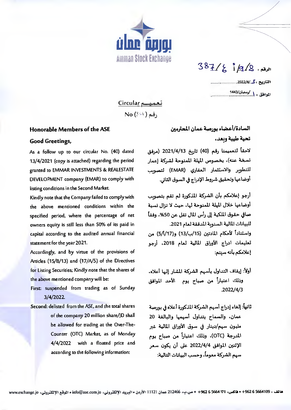

 $387/27/2$ 

التاريح ، كي /2022/4. حسب مستنبه المواهق والمرمضان/1443

تعميسم Circular  $No(301)$ وقم ( ا

## Honorable Members of the ASE

## **Good Greetings,**

As a follow up to our circular No. (40) dated 13/4/2021 (copy is attached) regarding the period granted to EMMAR INVESTMENTS & REALESTATE DEVELOPMENT company (EMAR) to comply with listing conditions in the Second Market.

Kindly note that the Company failed to comply with the above mentioned conditions within the specified period, where the percentage of net owners equity is still less than S0% of its paid in capital according to the audited annual financial statement for the year 2021.

Accordingly, and by virtue of the provisions of Articles (15/B/13) and (17/A/5) of the Directives for Listing Securities; Kindly note that the shares of the above mentioned company will be:

- First: suspended from trading as of Sunday 3/4/2022.
- Second: delisted from the ASE, and the total shares of the company 20 million share/JD shall be allowed for trading at the Over-The-Counter (OTC) Market, as of Monday 4/4/2022 with a floated price and according to the following information:

السادة/أعضاء بورصة عمان المحترمين تحية طيبة وبعد،

لاحقاً لتعميمنا رقم (40) تاريخ 2021/4/13 (مرفق نسخة عنه)، بخصوص المهلة المنوحة لشركة إعمار للتطوير والاستثمار العقاري (EMAR) لتصويب أوضاعها وتحقيق شروط الإدراج في السوق الثاني.

أرجو إعلامكم بأن الشركة المذكورة لم تقم بتصويب أوضاعها خلال المهلة الممنوحة لها، حيث لا تزال نسبة صافي حقوق الملكية إلى رأس المال تقل عن 50%، وفقاً للبيانات المالية السنوبة المدققة لعام 2021. واستناداً لأحكام المادتين (15/ب/13) و(5/1/17) من تعليمات ادراج الأوراق المالية لعام 2018، أرجو

إعلامكم بأنه سنتم:

- أولاً: إيقاف التداول بأسهم الشركة المشار إليها أعلاه، وذلك اعتباراً من صباح يوم الأحد الموافق  $.2022/4/3$
- ثانياً: إلغاء إدراج أسهم الشركة المذكورة أعلاه في بورصة عمان، والسماح بتداول أسهمها والبالغة 20 مليون سهم/دينار في سوق الأوراق المالية غير المدرجة (OTC)، وذلك اعتباراً من صباح يوم الإثنين الموافق 4/4/2022 على أن يكون سعر سهم الشركة معوماً، وحسب البيانات التالية: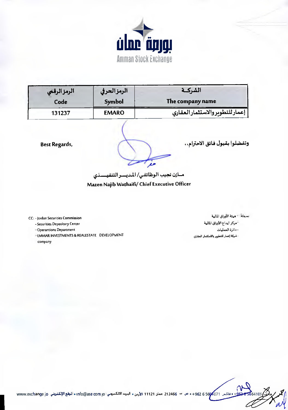

| الرمز الرقمي | الرمزالحرفي  | الشركسة                          |
|--------------|--------------|----------------------------------|
| Code         | Symbol       | The company name                 |
| 131237       | <b>EMARO</b> | إعمار للتطوير والاستثمار العقاري |

**Best Regards,** 

وتفضلوا بقبول فائق الاحترام،،

مازن نجيب الوظائفي/ المديسر التنفيسذي

Mazen Najib Wathaifi/ Chief Executive Officer

CC: - Jordan Securities Commission

- Securities Depository Center

- Operantions Department

**EMMAR INVESTMENTS & REALESTATE DEVELOPMENT** company

تسخه - هيئة الأوراق المالية - مركز ايداع الأوراق المالية - دائرة العمليات - شركة إعمار للتطوير والاستثمار العفاري

\_ فاكس 5664071 1962 0 964 + ص → 212466 عمان 11121 الأردن • البريد الالكتروني : Info@ase com jo الموقع الإلكتروني Ivww.exchange jo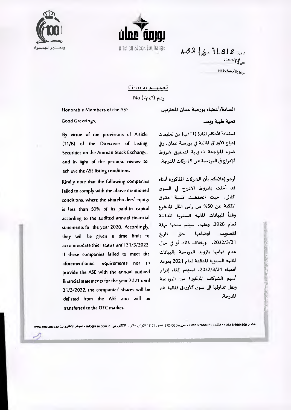



 $402 |z.11318$ 2021/4/ $12$ الموفق: 1 /ومضان/1442

تعمید Circular

No  $(4/7)$  رقم

Honorable Members of the ASE

Good Greetings,

By virtue of the provisions of Article (11/B) of the Directives of Listing Securities on the Amman Stock Exchange, and in light of the periodic review to achieve the ASE listing conditions.

Kindly note that the following companies failed to comply with the above mentioned conditions, where the shareholders' equity is less than 50% of its paid-in capital according to the audited annual financial statements for the year 2020. Accordingly, they will be given a time limit to accommodate thier status until 31/3/2022. If these companies failed to meet the aforementioned requirements nor to provide the ASE with the annual audited financial statements for the year 2021 until 31/3/2022, the companies' shares will be delisted from the ASE and will be transferred to the OTC market.

تحية طيبة وبعد.

استناداً لأحكام للادة (11/ب) من تعليمات إدراج الأوراق المالية في بورصة عمان. وفي ضوء المراجعة الدورية لتحقيق شروط الإدراج في البورصة على الشركات المدرجة.

السادة/أعضاء بورصة عمان المحترمين

أرجو إعلامكم بأن الشركات المذكورة أدناه قد أخلت بشروط الادراج في السوق الثاني، حيث انخفضت نسبة حقوق الملكية عن 50% من رأس المال المدفوع وفقأ للبيانات المالية السنوية المدققة لعام 2020. وعليه، سيتم منحها مهلة لتصويب أوضاعها حتى تاريخ 2022/3/31. وبخلاف ذلك أو في حال عدم قيامها بنزويد البورصة بالبيانات المالية السنوية المدققة لعام 2021 بموعد أقصاد 2022/3/31. فسبتم إلغاء إدراج أسهم الشركات المذكورة من البورصة ونقل تداولها الى سوق آلأوراق المالية غير المدرجة.

هتمن: 962 5664109 + فنكس: 962 5 666407 + ص.ب: 212466 عسان 11121 الأرين ءالمبريد الإلكتروس: into@ase.com jo •العوقم الإلكتروسي: www.exchange.jo